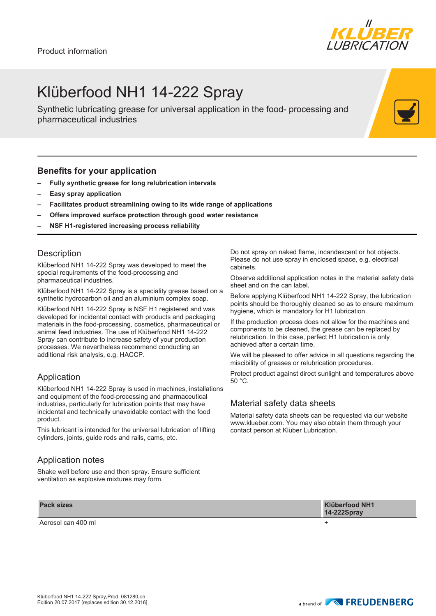

## Klüberfood NH1 14-222 Spray

Synthetic lubricating grease for universal application in the food- processing and pharmaceutical industries

#### **Benefits for your application**

- **– Fully synthetic grease for long relubrication intervals**
- **– Easy spray application**
- **– Facilitates product streamlining owing to its wide range of applications**
- **– Offers improved surface protection through good water resistance**
- **– NSF H1-registered increasing process reliability**

#### **Description**

Klüberfood NH1 14-222 Spray was developed to meet the special requirements of the food-processing and pharmaceutical industries.

Klüberfood NH1 14-222 Spray is a speciality grease based on a synthetic hydrocarbon oil and an aluminium complex soap.

Klüberfood NH1 14-222 Spray is NSF H1 registered and was developed for incidental contact with products and packaging materials in the food-processing, cosmetics, pharmaceutical or animal feed industries. The use of Klüberfood NH1 14-222 Spray can contribute to increase safety of your production processes. We nevertheless recommend conducting an additional risk analysis, e.g. HACCP.

### Application

Klüberfood NH1 14-222 Spray is used in machines, installations and equipment of the food-processing and pharmaceutical industries, particularly for lubrication points that may have incidental and technically unavoidable contact with the food product.

This lubricant is intended for the universal lubrication of lifting cylinders, joints, guide rods and rails, cams, etc.

### Application notes

Shake well before use and then spray. Ensure sufficient ventilation as explosive mixtures may form.

Do not spray on naked flame, incandescent or hot objects. Please do not use spray in enclosed space, e.g. electrical cabinets.

Observe additional application notes in the material safety data sheet and on the can label.

Before applying Klüberfood NH1 14-222 Spray, the lubrication points should be thoroughly cleaned so as to ensure maximum hygiene, which is mandatory for H1 lubrication.

If the production process does not allow for the machines and components to be cleaned, the grease can be replaced by relubrication. In this case, perfect H1 lubrication is only achieved after a certain time.

We will be pleased to offer advice in all questions regarding the miscibility of greases or relubrication procedures.

Protect product against direct sunlight and temperatures above 50 °C.

### Material safety data sheets

Material safety data sheets can be requested via our website www.klueber.com. You may also obtain them through your contact person at Klüber Lubrication.

| <b>Pack sizes</b>  | <b>Klüberfood NH1</b><br><b>14-222Spray</b> |
|--------------------|---------------------------------------------|
| Aerosol can 400 ml |                                             |